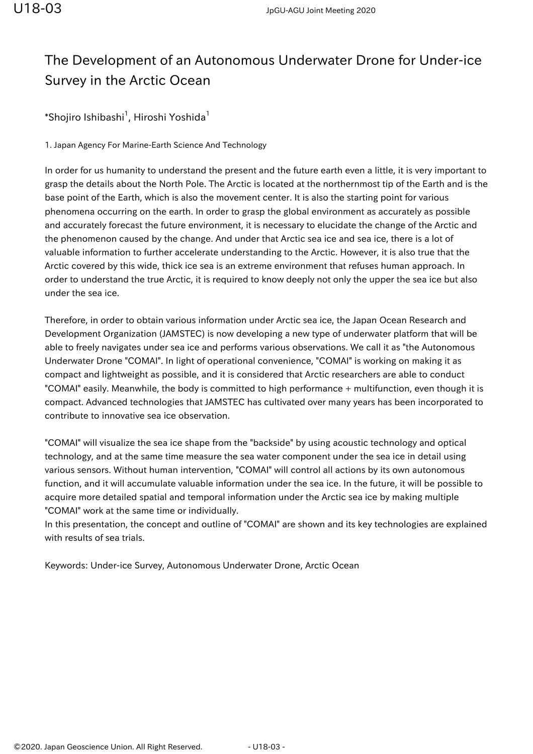## The Development of an Autonomous Underwater Drone for Under-ice Survey in the Arctic Ocean

 $\,$ \*Shojiro Ishibashi $^1$ , Hiroshi Yoshida $^1$ 

1. Japan Agency For Marine-Earth Science And Technology

In order for us humanity to understand the present and the future earth even a little, it is very important to grasp the details about the North Pole. The Arctic is located at the northernmost tip of the Earth and is the base point of the Earth, which is also the movement center. It is also the starting point for various phenomena occurring on the earth. In order to grasp the global environment as accurately as possible and accurately forecast the future environment, it is necessary to elucidate the change of the Arctic and the phenomenon caused by the change. And under that Arctic sea ice and sea ice, there is a lot of valuable information to further accelerate understanding to the Arctic. However, it is also true that the Arctic covered by this wide, thick ice sea is an extreme environment that refuses human approach. In order to understand the true Arctic, it is required to know deeply not only the upper the sea ice but also under the sea ice.

Therefore, in order to obtain various information under Arctic sea ice, the Japan Ocean Research and Development Organization (JAMSTEC) is now developing a new type of underwater platform that will be able to freely navigates under sea ice and performs various observations. We call it as "the Autonomous Underwater Drone "COMAI". In light of operational convenience, "COMAI" is working on making it as compact and lightweight as possible, and it is considered that Arctic researchers are able to conduct "COMAI" easily. Meanwhile, the body is committed to high performance + multifunction, even though it is compact. Advanced technologies that JAMSTEC has cultivated over many years has been incorporated to contribute to innovative sea ice observation.

"COMAI" will visualize the sea ice shape from the "backside" by using acoustic technology and optical technology, and at the same time measure the sea water component under the sea ice in detail using various sensors. Without human intervention, "COMAI" will control all actions by its own autonomous function, and it will accumulate valuable information under the sea ice. In the future, it will be possible to acquire more detailed spatial and temporal information under the Arctic sea ice by making multiple "COMAI" work at the same time or individually.

In this presentation, the concept and outline of "COMAI" are shown and its key technologies are explained with results of sea trials.

Keywords: Under-ice Survey, Autonomous Underwater Drone, Arctic Ocean